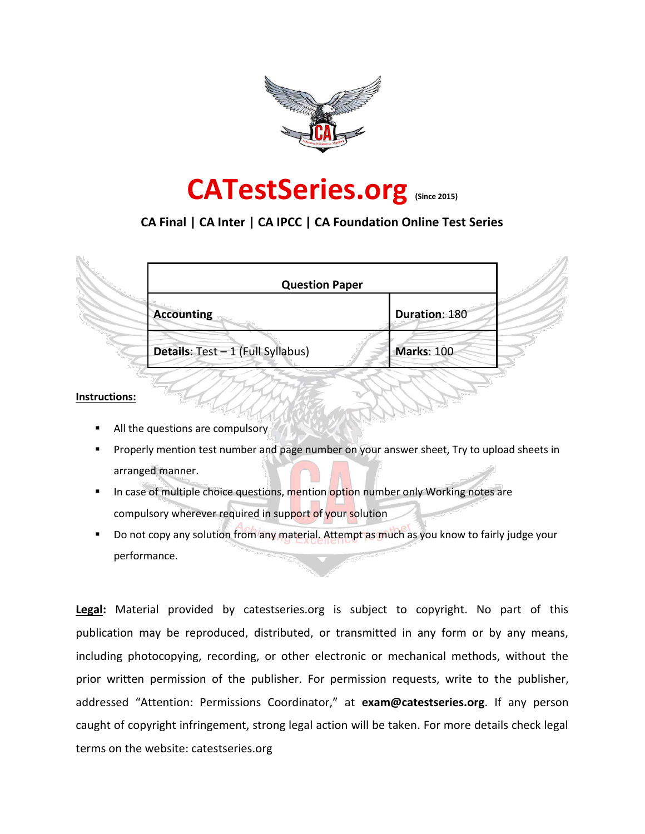

# **CATestSeries.org (Since 2015)**

## **CA Final | CA Inter | CA IPCC | CA Foundation Online Test Series**

|                                   | <b>Question Paper</b> |
|-----------------------------------|-----------------------|
| Accounting                        | Duration: 180         |
| Details: Test - 1 (Full Syllabus) | Marks: 100            |

#### **Instructions:**

- All the questions are compulsory
- Properly mention test number and page number on your answer sheet, Try to upload sheets in arranged manner.
- In case of multiple choice questions, mention option number only Working notes are compulsory wherever required in support of your solution
- **Do not copy any solution from any material. Attempt as much as you know to fairly judge your** performance.

**Legal:** Material provided by catestseries.org is subject to copyright. No part of this publication may be reproduced, distributed, or transmitted in any form or by any means, including photocopying, recording, or other electronic or mechanical methods, without the prior written permission of the publisher. For permission requests, write to the publisher, addressed "Attention: Permissions Coordinator," at **exam@catestseries.org**. If any person caught of copyright infringement, strong legal action will be taken. For more details check legal terms on the website: catestseries.org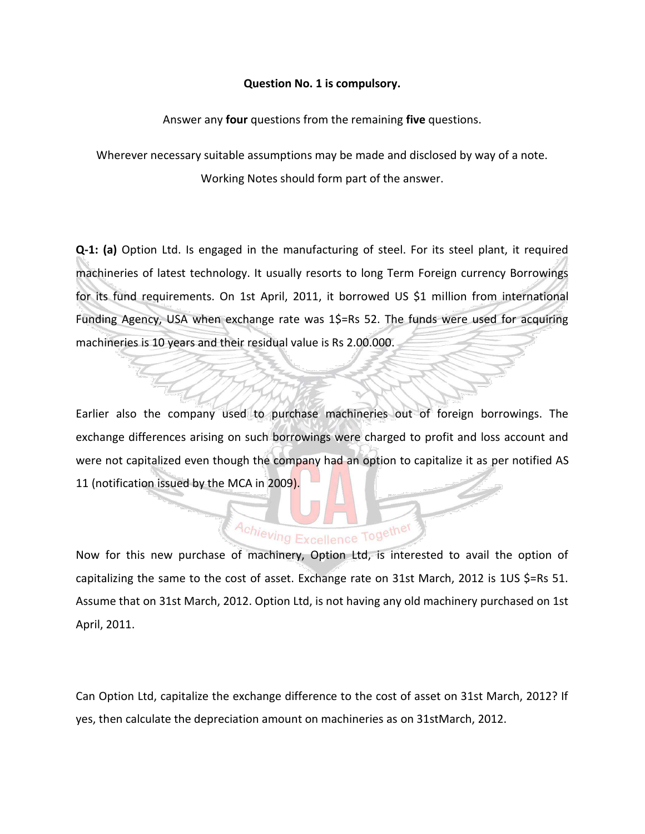#### **Question No. 1 is compulsory.**

Answer any **four** questions from the remaining **five** questions.

Wherever necessary suitable assumptions may be made and disclosed by way of a note. Working Notes should form part of the answer.

**Q-1: (a)** Option Ltd. Is engaged in the manufacturing of steel. For its steel plant, it required machineries of latest technology. It usually resorts to long Term Foreign currency Borrowings for its fund requirements. On 1st April, 2011, it borrowed US \$1 million from international Funding Agency, USA when exchange rate was 1\$=Rs 52. The funds were used for acquiring machineries is 10 years and their residual value is Rs 2.00.000.

Earlier also the company used to purchase machineries out of foreign borrowings. The exchange differences arising on such borrowings were charged to profit and loss account and were not capitalized even though the company had an option to capitalize it as per notified AS 11 (notification issued by the MCA in 2009).

# Achieving Excellence Together

Now for this new purchase of machinery, Option Ltd, is interested to avail the option of capitalizing the same to the cost of asset. Exchange rate on 31st March, 2012 is 1US \$=Rs 51. Assume that on 31st March, 2012. Option Ltd, is not having any old machinery purchased on 1st April, 2011.

Can Option Ltd, capitalize the exchange difference to the cost of asset on 31st March, 2012? If yes, then calculate the depreciation amount on machineries as on 31stMarch, 2012.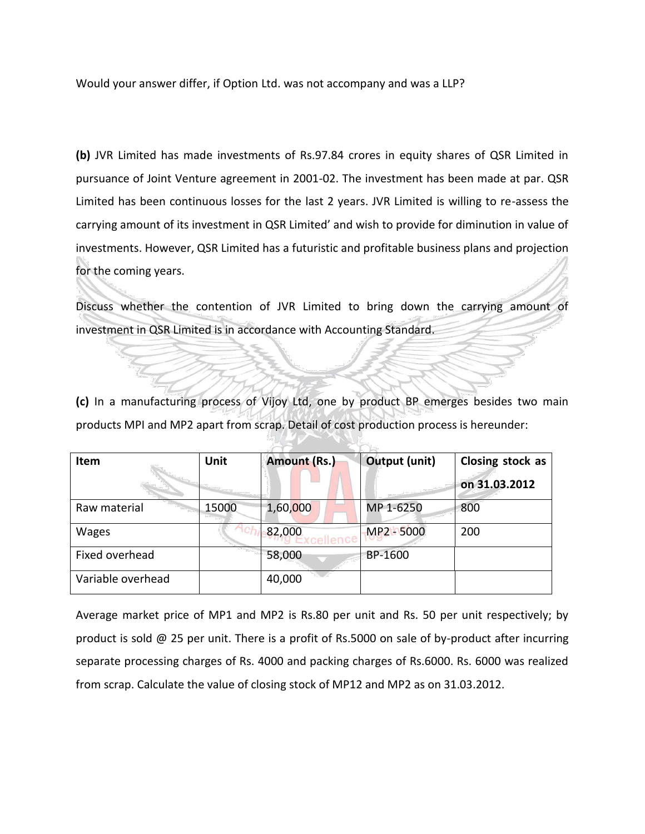Would your answer differ, if Option Ltd. was not accompany and was a LLP?

**(b)** JVR Limited has made investments of Rs.97.84 crores in equity shares of QSR Limited in pursuance of Joint Venture agreement in 2001-02. The investment has been made at par. QSR Limited has been continuous losses for the last 2 years. JVR Limited is willing to re-assess the carrying amount of its investment in QSR Limited' and wish to provide for diminution in value of investments. However, QSR Limited has a futuristic and profitable business plans and projection for the coming years.

Discuss whether the contention of JVR Limited to bring down the carrying amount of investment in QSR Limited is in accordance with Accounting Standard.

**(c)** In a manufacturing process of Vijoy Ltd, one by product BP emerges besides two main products MPI and MP2 apart from scrap. Detail of cost production process is hereunder:

| Item              | Unit  | <b>Amount (Rs.)</b> | Output (unit) | Closing stock as<br>on 31.03.2012 |
|-------------------|-------|---------------------|---------------|-----------------------------------|
| Raw material      | 15000 | 1,60,000            | MP 1-6250     | 800                               |
| <b>Wages</b>      |       | 82,000<br>allan et  | MP2 - 5000    | 200                               |
| Fixed overhead    |       | 58,000              | BP-1600       |                                   |
| Variable overhead |       | 40,000              |               |                                   |

Average market price of MP1 and MP2 is Rs.80 per unit and Rs. 50 per unit respectively; by product is sold @ 25 per unit. There is a profit of Rs.5000 on sale of by-product after incurring separate processing charges of Rs. 4000 and packing charges of Rs.6000. Rs. 6000 was realized from scrap. Calculate the value of closing stock of MP12 and MP2 as on 31.03.2012.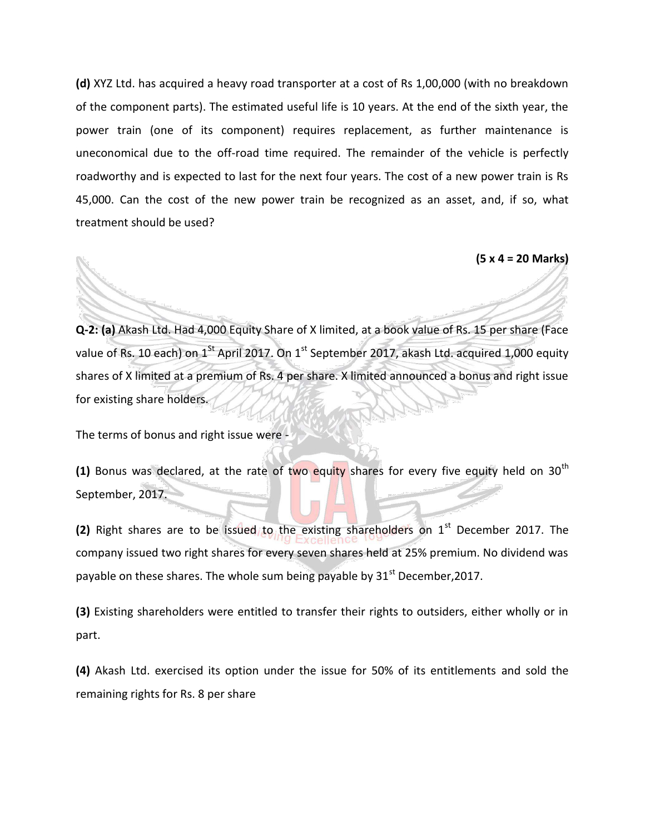**(d)** XYZ Ltd. has acquired a heavy road transporter at a cost of Rs 1,00,000 (with no breakdown of the component parts). The estimated useful life is 10 years. At the end of the sixth year, the power train (one of its component) requires replacement, as further maintenance is uneconomical due to the off-road time required. The remainder of the vehicle is perfectly roadworthy and is expected to last for the next four years. The cost of a new power train is Rs 45,000. Can the cost of the new power train be recognized as an asset, and, if so, what treatment should be used?

**(5 x 4 = 20 Marks)**

**Q-2: (a)** Akash Ltd. Had 4,000 Equity Share of X limited, at a book value of Rs. 15 per share (Face value of Rs. 10 each) on  $1^{st}$  April 2017. On  $1^{st}$  September 2017, akash Ltd. acquired 1,000 equity shares of X limited at a premium of Rs. 4 per share. X limited announced a bonus and right issue for existing share holders.

The terms of bonus and right issue were -

**(1)** Bonus was declared, at the rate of two equity shares for every five equity held on 30<sup>th</sup> September, 2017.

**(2)** Right shares are to be issued to the existing shareholders on  $1<sup>st</sup>$  December 2017. The company issued two right shares for every seven shares held at 25% premium. No dividend was payable on these shares. The whole sum being payable by  $31<sup>st</sup>$  December, 2017.

**(3)** Existing shareholders were entitled to transfer their rights to outsiders, either wholly or in part.

**(4)** Akash Ltd. exercised its option under the issue for 50% of its entitlements and sold the remaining rights for Rs. 8 per share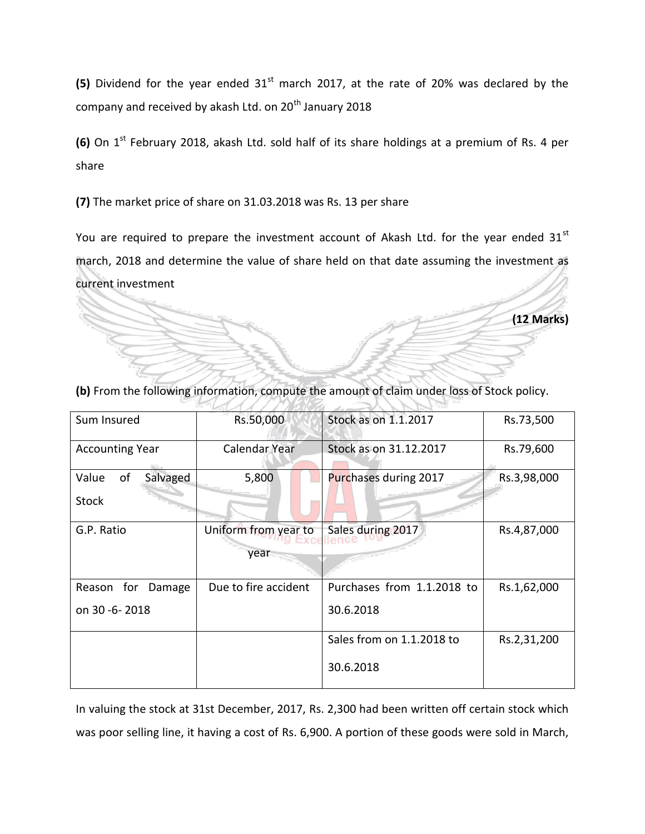(5) Dividend for the year ended 31<sup>st</sup> march 2017, at the rate of 20% was declared by the company and received by akash Ltd. on 20<sup>th</sup> January 2018

**(6)** On 1<sup>st</sup> February 2018, akash Ltd. sold half of its share holdings at a premium of Rs. 4 per share

**(7)** The market price of share on 31.03.2018 was Rs. 13 per share

You are required to prepare the investment account of Akash Ltd. for the year ended  $31<sup>st</sup>$ march, 2018 and determine the value of share held on that date assuming the investment as current investment

**(12 Marks)**

| Sum Insured             | Rs.50,000            | Stock as on 1.1.2017       | Rs.73,500   |
|-------------------------|----------------------|----------------------------|-------------|
| <b>Accounting Year</b>  | Calendar Year        | Stock as on 31.12.2017     | Rs.79,600   |
| οf<br>Value<br>Salvaged | 5,800                | Purchases during 2017      | Rs.3,98,000 |
| <b>Stock</b>            |                      |                            |             |
| G.P. Ratio              | Uniform from year to | Sales during 2017          | Rs.4,87,000 |
|                         | year                 |                            |             |
| for<br>Reason<br>Damage | Due to fire accident | Purchases from 1.1.2018 to | Rs.1,62,000 |
| on 30 -6-2018           |                      | 30.6.2018                  |             |
|                         |                      | Sales from on 1.1.2018 to  | Rs.2,31,200 |
|                         |                      | 30.6.2018                  |             |

**(b)** From the following information, compute the amount of claim under loss of Stock policy.

In valuing the stock at 31st December, 2017, Rs. 2,300 had been written off certain stock which was poor selling line, it having a cost of Rs. 6,900. A portion of these goods were sold in March,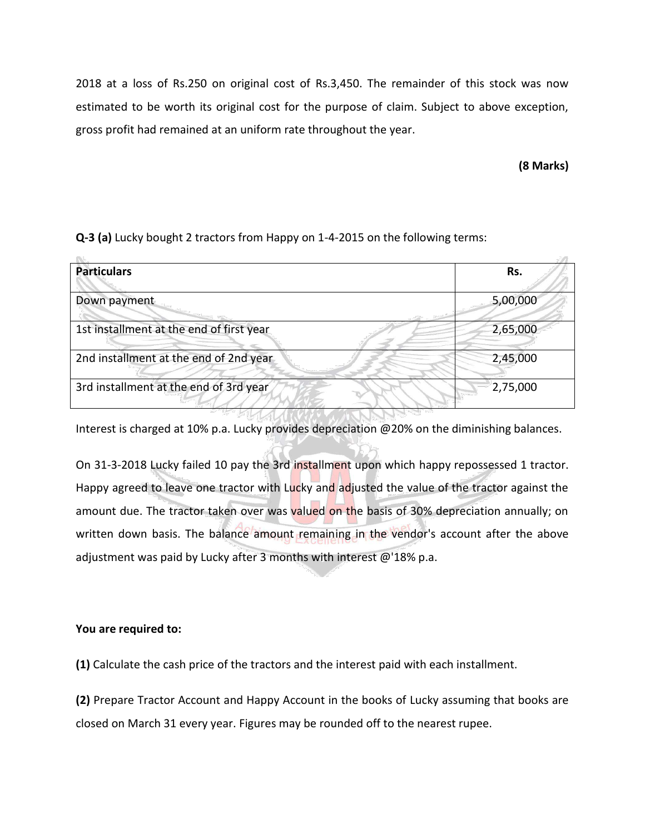2018 at a loss of Rs.250 on original cost of Rs.3,450. The remainder of this stock was now estimated to be worth its original cost for the purpose of claim. Subject to above exception, gross profit had remained at an uniform rate throughout the year.

**(8 Marks)**

**Q-3 (a)** Lucky bought 2 tractors from Happy on 1-4-2015 on the following terms:

| <b>Particulars</b>                       | Rs.      |
|------------------------------------------|----------|
| Down payment                             | 5,00,000 |
| 1st installment at the end of first year | 2,65,000 |
| 2nd installment at the end of 2nd year   | 2,45,000 |
| 3rd installment at the end of 3rd year   | 2,75,000 |
|                                          |          |

Interest is charged at 10% p.a. Lucky provides depreciation @20% on the diminishing balances.

On 31-3-2018 Lucky failed 10 pay the 3rd installment upon which happy repossessed 1 tractor. Happy agreed to leave one tractor with Lucky and adjusted the value of the tractor against the amount due. The tractor taken over was valued on the basis of 30% depreciation annually; on written down basis. The balance amount remaining in the vendor's account after the above adjustment was paid by Lucky after 3 months with interest @'18% p.a.

#### **You are required to:**

**(1)** Calculate the cash price of the tractors and the interest paid with each installment.

**(2)** Prepare Tractor Account and Happy Account in the books of Lucky assuming that books are closed on March 31 every year. Figures may be rounded off to the nearest rupee.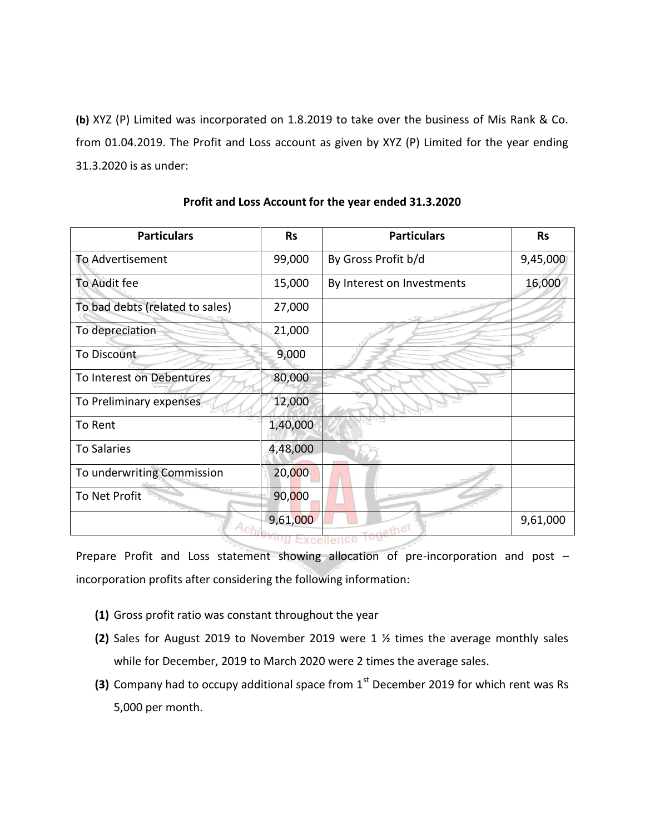**(b)** XYZ (P) Limited was incorporated on 1.8.2019 to take over the business of Mis Rank & Co. from 01.04.2019. The Profit and Loss account as given by XYZ (P) Limited for the year ending 31.3.2020 is as under:

| <b>Particulars</b>              | <b>Rs</b> | <b>Particulars</b>         | <b>Rs</b> |
|---------------------------------|-----------|----------------------------|-----------|
| To Advertisement                | 99,000    | By Gross Profit b/d        | 9,45,000  |
| To Audit fee                    | 15,000    | By Interest on Investments | 16,000    |
| To bad debts (related to sales) | 27,000    |                            |           |
| To depreciation                 | 21,000    |                            |           |
| <b>To Discount</b>              | 9,000     |                            |           |
| To Interest on Debentures       | 80,000    |                            |           |
| To Preliminary expenses         | 12,000    |                            |           |
| To Rent                         | 1,40,000  |                            |           |
| <b>To Salaries</b>              | 4,48,000  |                            |           |
| To underwriting Commission      | 20,000    |                            |           |
| To Net Profit                   | 90,000    |                            |           |
| Ach                             | 9,61,000  | the                        | 9,61,000  |
|                                 |           |                            |           |

**Profit and Loss Account for the year ended 31.3.2020**

Prepare Profit and Loss statement showing allocation of pre-incorporation and post – incorporation profits after considering the following information:

- **(1)** Gross profit ratio was constant throughout the year
- **(2)** Sales for August 2019 to November 2019 were 1 ½ times the average monthly sales while for December, 2019 to March 2020 were 2 times the average sales.
- **(3)** Company had to occupy additional space from 1<sup>st</sup> December 2019 for which rent was Rs 5,000 per month.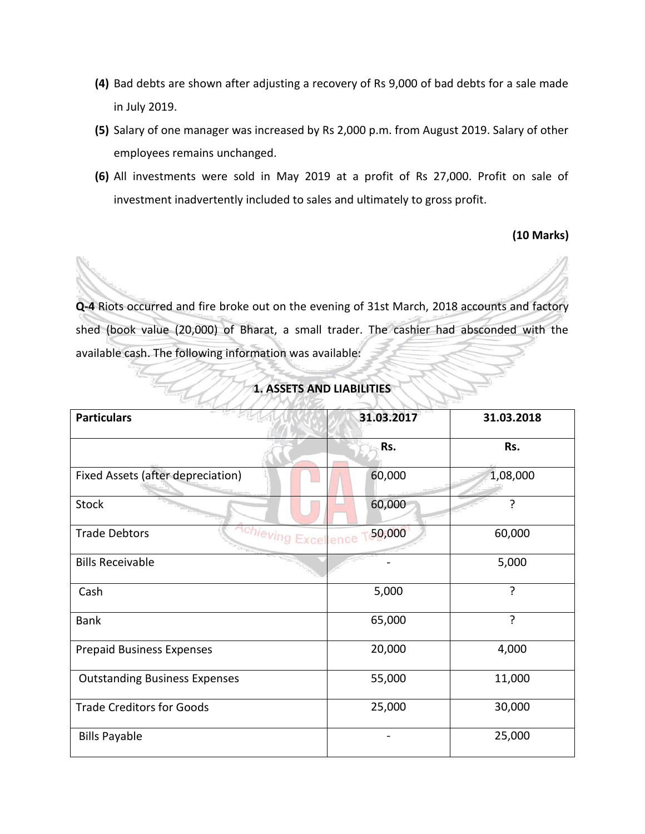- **(4)** Bad debts are shown after adjusting a recovery of Rs 9,000 of bad debts for a sale made in July 2019.
- **(5)** Salary of one manager was increased by Rs 2,000 p.m. from August 2019. Salary of other employees remains unchanged.
- **(6)** All investments were sold in May 2019 at a profit of Rs 27,000. Profit on sale of investment inadvertently included to sales and ultimately to gross profit.

#### **(10 Marks)**

**Q-4** Riots occurred and fire broke out on the evening of 31st March, 2018 accounts and factory shed (book value (20,000) of Bharat, a small trader. The cashier had absconded with the available cash. The following information was available:

| <b>Particulars</b>                                       | 31.03.2017 | 31.03.2018 |
|----------------------------------------------------------|------------|------------|
|                                                          | Rs.        | Rs.        |
| Fixed Assets (after depreciation)                        | 60,000     | 1,08,000   |
| <b>Stock</b>                                             | 60,000     | ?          |
| <sup>chieving</sup> Excellence T<br><b>Trade Debtors</b> | 50,000     | 60,000     |
| <b>Bills Receivable</b>                                  |            | 5,000      |
| Cash                                                     | 5,000      | ?          |
| <b>Bank</b>                                              | 65,000     | ?          |
| <b>Prepaid Business Expenses</b>                         | 20,000     | 4,000      |
| <b>Outstanding Business Expenses</b>                     | 55,000     | 11,000     |
| <b>Trade Creditors for Goods</b>                         | 25,000     | 30,000     |
| <b>Bills Payable</b>                                     |            | 25,000     |

#### **1. ASSETS AND LIABILITIES**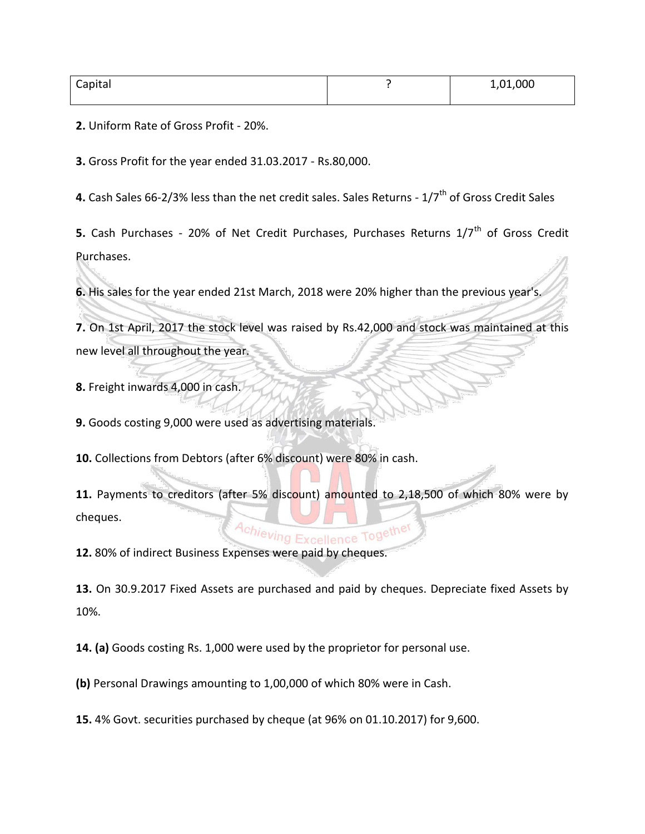| Capital | 1,01,000 |
|---------|----------|
|         |          |

**2.** Uniform Rate of Gross Profit - 20%.

**3.** Gross Profit for the year ended 31.03.2017 - Rs.80,000.

4. Cash Sales 66-2/3% less than the net credit sales. Sales Returns - 1/7<sup>th</sup> of Gross Credit Sales

**5.** Cash Purchases - 20% of Net Credit Purchases, Purchases Returns 1/7<sup>th</sup> of Gross Credit Purchases.

**6.** His sales for the year ended 21st March, 2018 were 20% higher than the previous year's.

**7.** On 1st April, 2017 the stock level was raised by Rs.42,000 and stock was maintained at this new level all throughout the year.

**8.** Freight inwards 4,000 in cash.

**9.** Goods costing 9,000 were used as advertising materials.

**10.** Collections from Debtors (after 6% discount) were 80% in cash.

**11.** Payments to creditors (after 5% discount) amounted to 2,18,500 of which 80% were by cheques.

12. 80% of indirect Business Expenses were paid by cheques.

**13.** On 30.9.2017 Fixed Assets are purchased and paid by cheques. Depreciate fixed Assets by 10%.

**14. (a)** Goods costing Rs. 1,000 were used by the proprietor for personal use.

**(b)** Personal Drawings amounting to 1,00,000 of which 80% were in Cash.

**15.** 4% Govt. securities purchased by cheque (at 96% on 01.10.2017) for 9,600.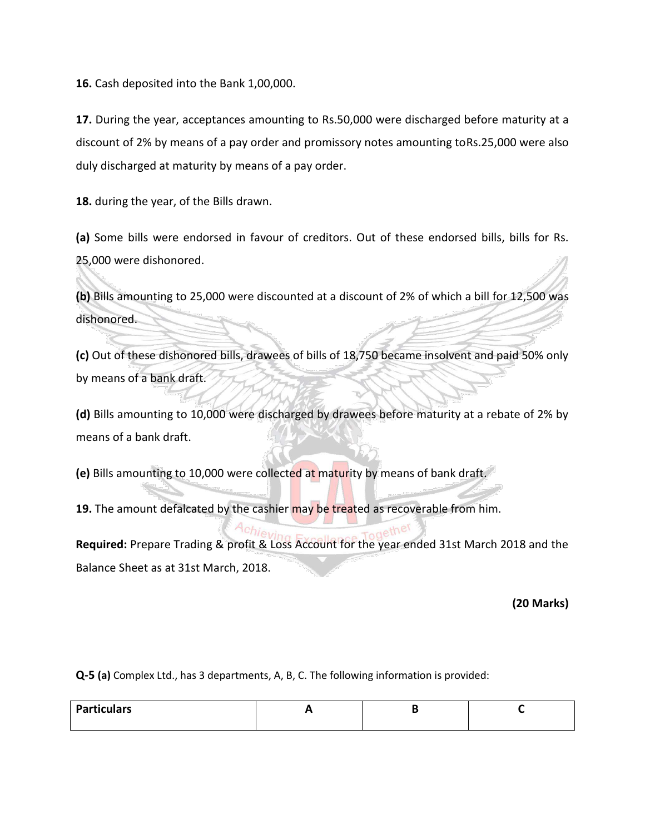**16.** Cash deposited into the Bank 1,00,000.

**17.** During the year, acceptances amounting to Rs.50,000 were discharged before maturity at a discount of 2% by means of a pay order and promissory notes amounting toRs.25,000 were also duly discharged at maturity by means of a pay order.

**18.** during the year, of the Bills drawn.

**(a)** Some bills were endorsed in favour of creditors. Out of these endorsed bills, bills for Rs. 25,000 were dishonored.

**(b)** Bills amounting to 25,000 were discounted at a discount of 2% of which a bill for 12,500 was dishonored.

**(c)** Out of these dishonored bills, drawees of bills of 18,750 became insolvent and paid 50% only by means of a bank draft.

**(d)** Bills amounting to 10,000 were discharged by drawees before maturity at a rebate of 2% by means of a bank draft.

**(e)** Bills amounting to 10,000 were collected at maturity by means of bank draft.

**19.** The amount defalcated by the cashier may be treated as recoverable from him.

**Required:** Prepare Trading & profit & Loss Account for the year ended 31st March 2018 and the Balance Sheet as at 31st March, 2018.

**(20 Marks)**

**Q-5 (a)** Complex Ltd., has 3 departments, A, B, C. The following information is provided:

| <b>Particulars</b> |  |  |
|--------------------|--|--|
|                    |  |  |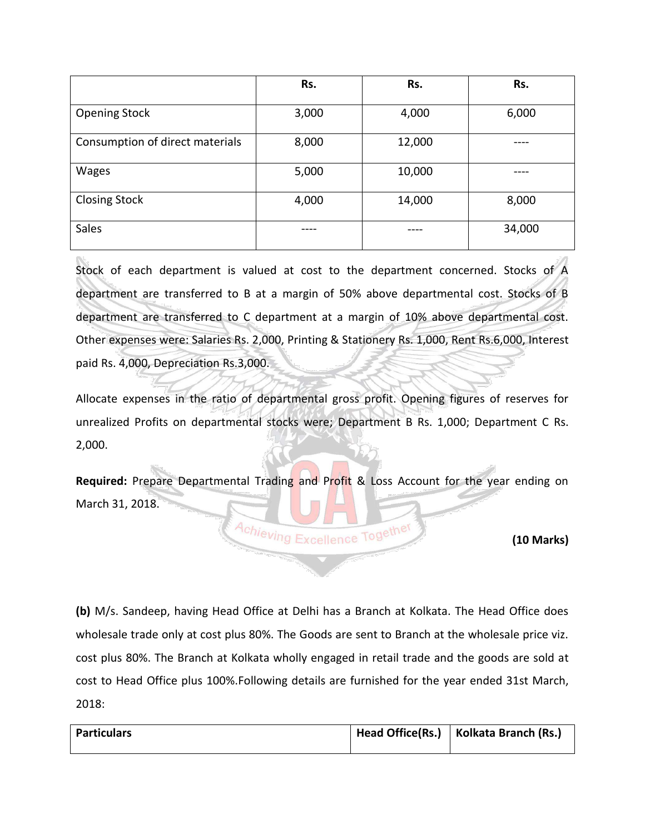|                                 | Rs.   | Rs.    | Rs.    |
|---------------------------------|-------|--------|--------|
| <b>Opening Stock</b>            | 3,000 | 4,000  | 6,000  |
| Consumption of direct materials | 8,000 | 12,000 |        |
| Wages                           | 5,000 | 10,000 |        |
| <b>Closing Stock</b>            | 4,000 | 14,000 | 8,000  |
| Sales                           |       |        | 34,000 |

Stock of each department is valued at cost to the department concerned. Stocks of A department are transferred to B at a margin of 50% above departmental cost. Stocks of B department are transferred to C department at a margin of 10% above departmental cost. Other expenses were: Salaries Rs. 2,000, Printing & Stationery Rs. 1,000, Rent Rs.6,000, Interest paid Rs. 4,000, Depreciation Rs.3,000.

Allocate expenses in the ratio of departmental gross profit. Opening figures of reserves for unrealized Profits on departmental stocks were; Department B Rs. 1,000; Department C Rs. 2,000.

**Required:** Prepare Departmental Trading and Profit & Loss Account for the year ending on March 31, 2018.

Achieving Excellence Together

**(10 Marks)**

**(b)** M/s. Sandeep, having Head Office at Delhi has a Branch at Kolkata. The Head Office does wholesale trade only at cost plus 80%. The Goods are sent to Branch at the wholesale price viz. cost plus 80%. The Branch at Kolkata wholly engaged in retail trade and the goods are sold at cost to Head Office plus 100%.Following details are furnished for the year ended 31st March, 2018:

| <b>Particulars</b> | Head Office(Rs.)   Kolkata Branch (Rs.) |
|--------------------|-----------------------------------------|
|                    |                                         |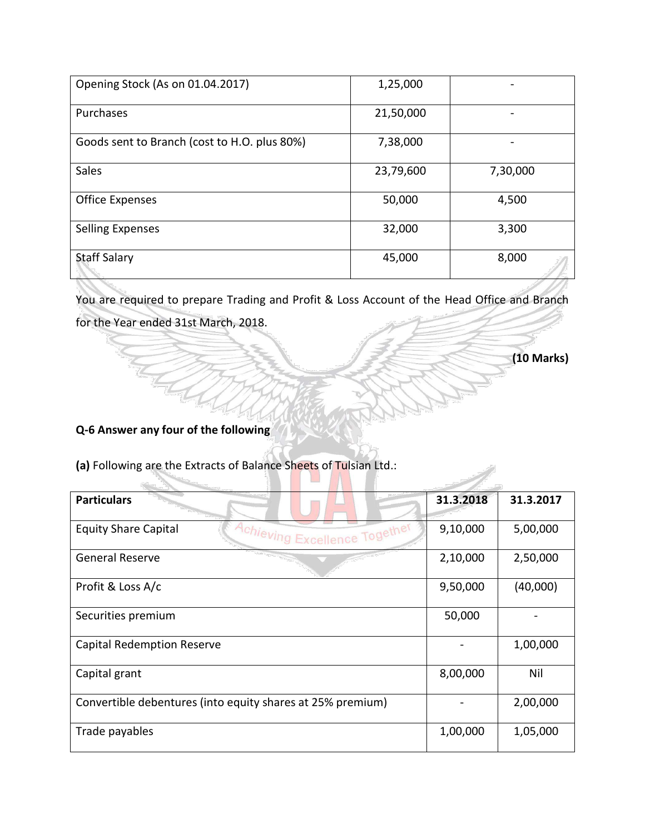| Opening Stock (As on 01.04.2017)             | 1,25,000  |          |
|----------------------------------------------|-----------|----------|
| Purchases                                    | 21,50,000 |          |
| Goods sent to Branch (cost to H.O. plus 80%) | 7,38,000  |          |
| Sales                                        | 23,79,600 | 7,30,000 |
| <b>Office Expenses</b>                       | 50,000    | 4,500    |
| <b>Selling Expenses</b>                      | 32,000    | 3,300    |
| <b>Staff Salary</b>                          | 45,000    | 8,000    |

You are required to prepare Trading and Profit & Loss Account of the Head Office and Branch for the Year ended 31st March, 2018.

### **(10 Marks)**

**Q-6 Answer any four of the following**

Ű

**(a)** Following are the Extracts of Balance Sheets of Tulsian Ltd.:

| <b>Particulars</b>                                           | 31.3.2018 | 31.3.2017 |
|--------------------------------------------------------------|-----------|-----------|
| <b>Equity Share Capital</b><br>Achieving Excellence Together | 9,10,000  | 5,00,000  |
| <b>General Reserve</b>                                       | 2,10,000  | 2,50,000  |
| Profit & Loss A/c                                            | 9,50,000  | (40,000)  |
| Securities premium                                           | 50,000    |           |
| Capital Redemption Reserve                                   |           | 1,00,000  |
| Capital grant                                                | 8,00,000  | Nil       |
| Convertible debentures (into equity shares at 25% premium)   |           | 2,00,000  |
| Trade payables                                               | 1,00,000  | 1,05,000  |

ATTEIA

 $\mathcal{L}$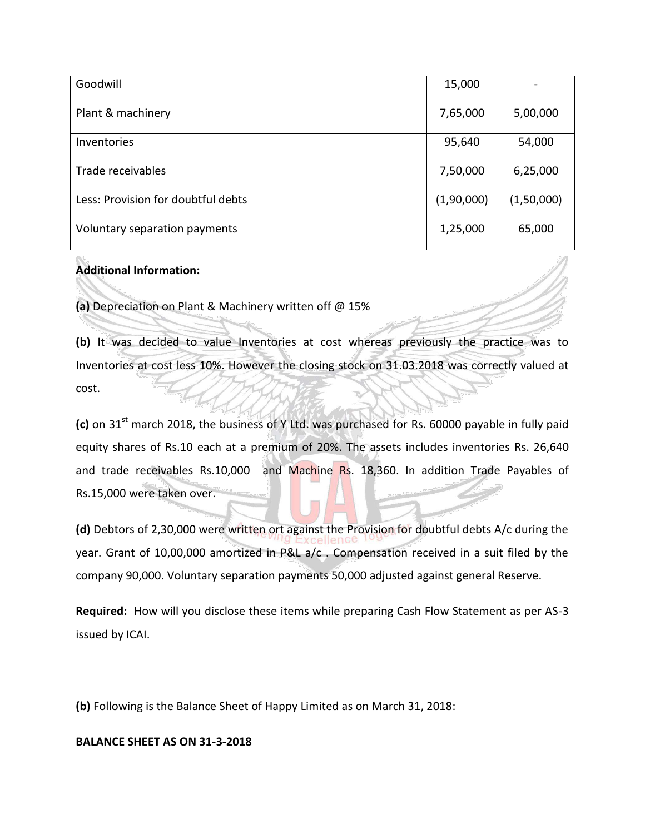| Goodwill                           | 15,000     |            |
|------------------------------------|------------|------------|
| Plant & machinery                  | 7,65,000   | 5,00,000   |
| Inventories                        | 95,640     | 54,000     |
| Trade receivables                  | 7,50,000   | 6,25,000   |
| Less: Provision for doubtful debts | (1,90,000) | (1,50,000) |
| Voluntary separation payments      | 1,25,000   | 65,000     |

#### **Additional Information:**

**(a)** Depreciation on Plant & Machinery written off @ 15%

**(b)** It was decided to value Inventories at cost whereas previously the practice was to Inventories at cost less 10%. However the closing stock on 31.03.2018 was correctly valued at cost.

(c) on 31<sup>st</sup> march 2018, the business of Y Ltd. was purchased for Rs. 60000 payable in fully paid equity shares of Rs.10 each at a premium of 20%. The assets includes inventories Rs. 26,640 and trade receivables Rs.10,000 and Machine Rs. 18,360. In addition Trade Payables of Rs.15,000 were taken over.

**(d)** Debtors of 2,30,000 were written ort against the Provision for doubtful debts A/c during the year. Grant of 10,00,000 amortized in P&L a/c . Compensation received in a suit filed by the company 90,000. Voluntary separation payments 50,000 adjusted against general Reserve.

**Required:** How will you disclose these items while preparing Cash Flow Statement as per AS-3 issued by ICAI.

**(b)** Following is the Balance Sheet of Happy Limited as on March 31, 2018:

#### **BALANCE SHEET AS ON 31-3-2018**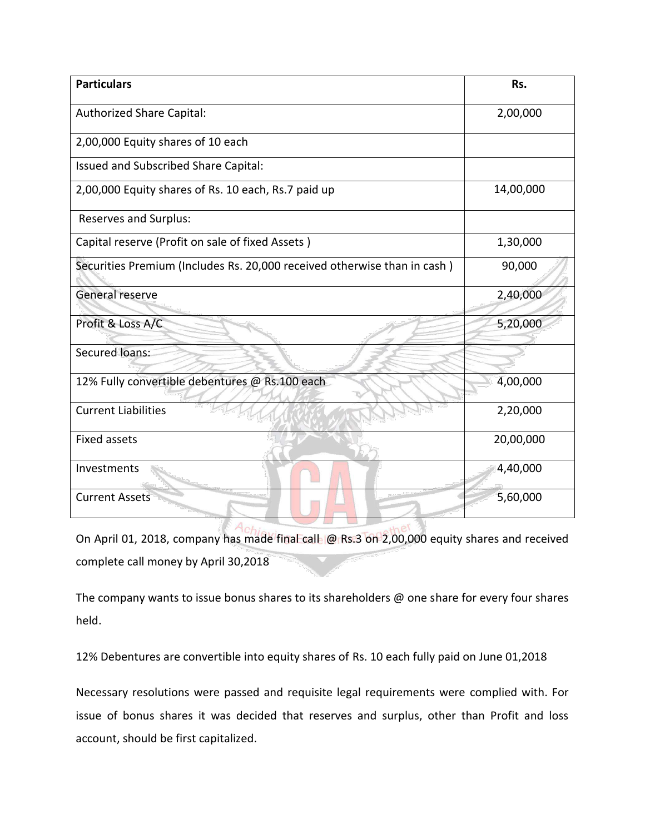| <b>Particulars</b>                                                       | Rs.       |
|--------------------------------------------------------------------------|-----------|
| <b>Authorized Share Capital:</b>                                         | 2,00,000  |
| 2,00,000 Equity shares of 10 each                                        |           |
| Issued and Subscribed Share Capital:                                     |           |
| 2,00,000 Equity shares of Rs. 10 each, Rs.7 paid up                      | 14,00,000 |
| Reserves and Surplus:                                                    |           |
| Capital reserve (Profit on sale of fixed Assets)                         | 1,30,000  |
| Securities Premium (Includes Rs. 20,000 received otherwise than in cash) | 90,000    |
| General reserve                                                          | 2,40,000  |
| Profit & Loss A/C                                                        | 5,20,000  |
| Secured loans:                                                           |           |
| 12% Fully convertible debentures @ Rs.100 each                           | 4,00,000  |
| <b>Current Liabilities</b>                                               | 2,20,000  |
| <b>Fixed assets</b>                                                      | 20,00,000 |
| Investments                                                              | 4,40,000  |
| <b>Current Assets</b>                                                    | 5,60,000  |
|                                                                          |           |

On April 01, 2018, company has made final call @ Rs.3 on 2,00,000 equity shares and received complete call money by April 30,2018

The company wants to issue bonus shares to its shareholders @ one share for every four shares held.

12% Debentures are convertible into equity shares of Rs. 10 each fully paid on June 01,2018

Necessary resolutions were passed and requisite legal requirements were complied with. For issue of bonus shares it was decided that reserves and surplus, other than Profit and loss account, should be first capitalized.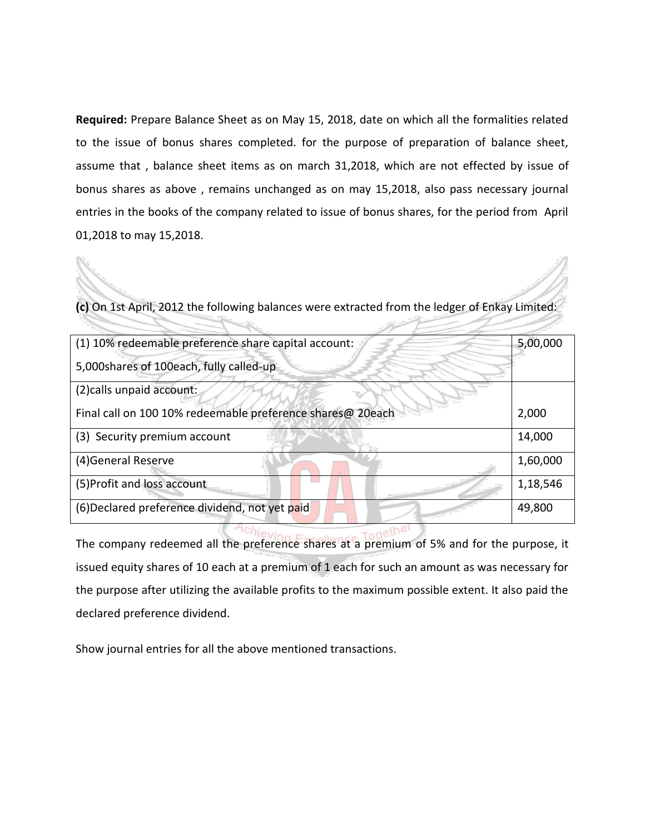**Required:** Prepare Balance Sheet as on May 15, 2018, date on which all the formalities related to the issue of bonus shares completed. for the purpose of preparation of balance sheet, assume that , balance sheet items as on march 31,2018, which are not effected by issue of bonus shares as above , remains unchanged as on may 15,2018, also pass necessary journal entries in the books of the company related to issue of bonus shares, for the period from April 01,2018 to may 15,2018.

**(c)** On 1st April, 2012 the following balances were extracted from the ledger of Enkay Limited:

| (1) 10% redeemable preference share capital account:       | 5,00,000 |
|------------------------------------------------------------|----------|
| 5,000shares of 100each, fully called-up                    |          |
| (2) calls unpaid account:                                  |          |
| Final call on 100 10% redeemable preference shares@ 20each | 2,000    |
| (3) Security premium account                               | 14,000   |
| (4) General Reserve                                        | 1,60,000 |
| (5) Profit and loss account                                | 1,18,546 |
| (6) Declared preference dividend, not yet paid             | 49,800   |

The company redeemed all the preference shares at a premium of 5% and for the purpose, it issued equity shares of 10 each at a premium of 1 each for such an amount as was necessary for the purpose after utilizing the available profits to the maximum possible extent. It also paid the declared preference dividend.

Show journal entries for all the above mentioned transactions.